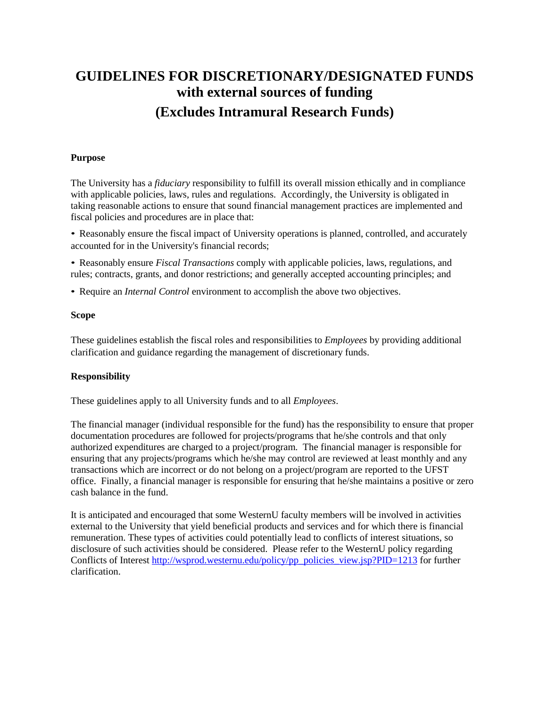# **GUIDELINES FOR DISCRETIONARY/DESIGNATED FUNDS with external sources of funding (Excludes Intramural Research Funds)**

### **Purpose**

The University has a *fiduciary* responsibility to fulfill its overall mission ethically and in compliance with applicable policies, laws, rules and regulations. Accordingly, the University is obligated in taking reasonable actions to ensure that sound financial management practices are implemented and fiscal policies and procedures are in place that:

• Reasonably ensure the fiscal impact of University operations is planned, controlled, and accurately accounted for in the University's financial records;

• Reasonably ensure *Fiscal Transactions* comply with applicable policies, laws, regulations, and rules; contracts, grants, and donor restrictions; and generally accepted accounting principles; and

• Require an *Internal Control* environment to accomplish the above two objectives.

# **Scope**

These guidelines establish the fiscal roles and responsibilities to *Employees* by providing additional clarification and guidance regarding the management of discretionary funds.

# **Responsibility**

These guidelines apply to all University funds and to all *Employees*.

The financial manager (individual responsible for the fund) has the responsibility to ensure that proper documentation procedures are followed for projects/programs that he/she controls and that only authorized expenditures are charged to a project/program. The financial manager is responsible for ensuring that any projects/programs which he/she may control are reviewed at least monthly and any transactions which are incorrect or do not belong on a project/program are reported to the UFST office. Finally, a financial manager is responsible for ensuring that he/she maintains a positive or zero cash balance in the fund.

It is anticipated and encouraged that some WesternU faculty members will be involved in activities external to the University that yield beneficial products and services and for which there is financial remuneration. These types of activities could potentially lead to conflicts of interest situations, so disclosure of such activities should be considered. Please refer to the WesternU policy regarding Conflicts of Interest [http://wsprod.westernu.edu/policy/pp\\_policies\\_view.jsp?PID=1213](http://wsprod.westernu.edu/policy/pp_policies_view.jsp?PID=1213) for further clarification.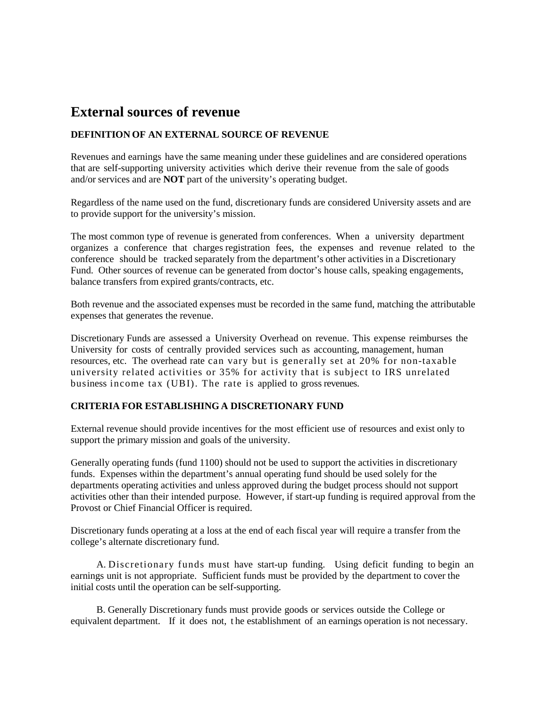# **External sources of revenue**

# **DEFINITION OF AN EXTERNAL SOURCE OF REVENUE**

Revenues and earnings have the same meaning under these guidelines and are considered operations that are self-supporting university activities which derive their revenue from the sale of goods and/or services and are **NOT** part of the university's operating budget.

Regardless of the name used on the fund, discretionary funds are considered University assets and are to provide support for the university's mission.

The most common type of revenue is generated from conferences. When a university department organizes a conference that charges registration fees, the expenses and revenue related to the conference should be tracked separately from the department's other activities in a Discretionary Fund. Other sources of revenue can be generated from doctor's house calls, speaking engagements, balance transfers from expired grants/contracts, etc.

Both revenue and the associated expenses must be recorded in the same fund, matching the attributable expenses that generates the revenue.

Discretionary Funds are assessed a University Overhead on revenue. This expense reimburses the University for costs of centrally provided services such as accounting, management, human resources, etc. The overhead rate can vary but is generally set at 20% for non-taxable university related activities or 35% for activity that is subject to IRS unrelated business income tax (UBI). The rate is applied to gross revenues.

# **CRITERIA FOR ESTABLISHING A DISCRETIONARY FUND**

External revenue should provide incentives for the most efficient use of resources and exist only to support the primary mission and goals of the university.

Generally operating funds (fund 1100) should not be used to support the activities in discretionary funds. Expenses within the department's annual operating fund should be used solely for the departments operating activities and unless approved during the budget process should not support activities other than their intended purpose. However, if start-up funding is required approval from the Provost or Chief Financial Officer is required.

Discretionary funds operating at a loss at the end of each fiscal year will require a transfer from the college's alternate discretionary fund.

A. Discretionary funds must have start-up funding. Using deficit funding to begin an earnings unit is not appropriate. Sufficient funds must be provided by the department to cover the initial costs until the operation can be self-supporting.

B. Generally Discretionary funds must provide goods or services outside the College or equivalent department. If it does not, t he establishment of an earnings operation is not necessary.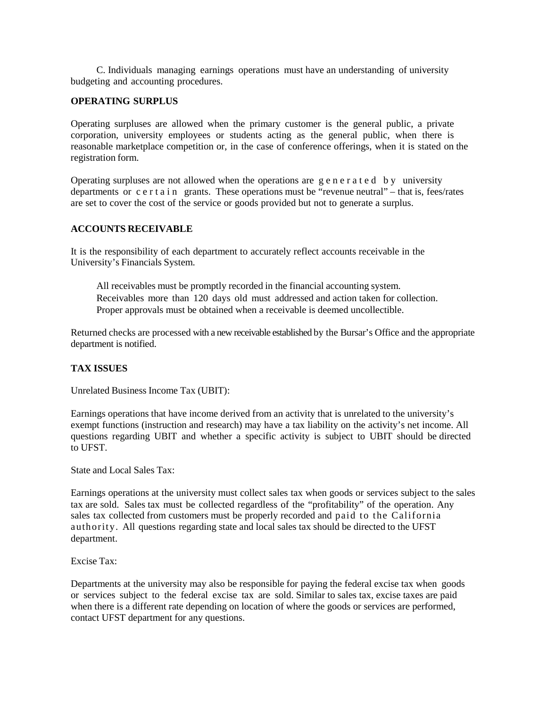C. Individuals managing earnings operations must have an understanding of university budgeting and accounting procedures.

#### **OPERATING SURPLUS**

Operating surpluses are allowed when the primary customer is the general public, a private corporation, university employees or students acting as the general public, when there is reasonable marketplace competition or, in the case of conference offerings, when it is stated on the registration form.

Operating surpluses are not allowed when the operations are generated by university departments or certain grants. These operations must be "revenue neutral" – that is, fees/rates are set to cover the cost of the service or goods provided but not to generate a surplus.

### **ACCOUNTS RECEIVABLE**

It is the responsibility of each department to accurately reflect accounts receivable in the University's Financials System.

All receivables must be promptly recorded in the financial accounting system. Receivables more than 120 days old must addressed and action taken for collection. Proper approvals must be obtained when a receivable is deemed uncollectible.

Returned checks are processed with a new receivable established by the Bursar's Office and the appropriate department is notified.

### **TAX ISSUES**

Unrelated Business Income Tax (UBIT):

Earnings operations that have income derived from an activity that is unrelated to the university's exempt functions (instruction and research) may have a tax liability on the activity's net income. All questions regarding UBIT and whether a specific activity is subject to UBIT should be directed to UFST.

State and Local Sales Tax:

Earnings operations at the university must collect sales tax when goods or services subject to the sales tax are sold. Sales tax must be collected regardless of the "profitability" of the operation. Any sales tax collected from customers must be properly recorded and paid to the California authority. All questions regarding state and local sales tax should be directed to the UFST department.

Excise Tax:

Departments at the university may also be responsible for paying the federal excise tax when goods or services subject to the federal excise tax are sold. Similar to sales tax, excise taxes are paid when there is a different rate depending on location of where the goods or services are performed, contact UFST department for any questions.